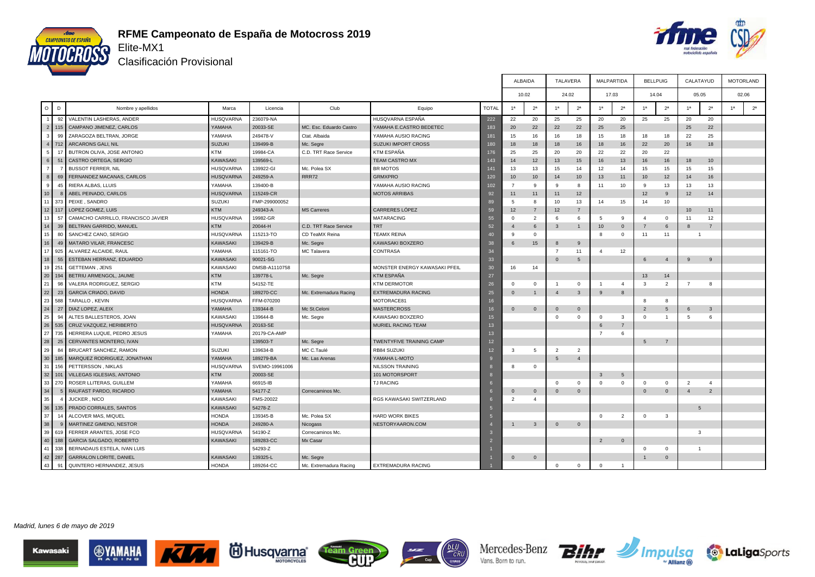



Clasificación Provisional

|                           |                                    |                  |                |                         |                               |                |                  | <b>ALBAIDA</b> | <b>TALAVERA</b> |                | <b>MALPARTIDA</b> |                |                  | <b>BELLPUIG</b> | CALATAYUD        |                       |                | <b>MOTORLAND</b> |
|---------------------------|------------------------------------|------------------|----------------|-------------------------|-------------------------------|----------------|------------------|----------------|-----------------|----------------|-------------------|----------------|------------------|-----------------|------------------|-----------------------|----------------|------------------|
|                           |                                    |                  |                |                         |                               |                |                  | 10.02          | 24.02           |                |                   | 17.03          |                  | 14.04           | 05.05            |                       |                | 02.06            |
| $\circ$<br>D              | Nombre y apellidos                 | Marca            | Licencia       | Club                    | Equipo                        | <b>TOTAL</b>   | 1 <sup>a</sup>   | 2 <sup>a</sup> | 1 <sup>a</sup>  | 2 <sup>a</sup> | 1 <sup>a</sup>    | 2 <sup>a</sup> | 1 <sup>a</sup>   | 2 <sup>a</sup>  | 1 <sup>a</sup>   | 2 <sup>a</sup>        | 1 <sup>a</sup> | 2 <sup>a</sup>   |
| 92                        | VALENTIN LASHERAS, ANDER           | <b>HUSQVARNA</b> | 236079-NA      |                         | HUSQVARNA ESPAÑA              | 222            | 22               | 20             | 25              | 25             | 20                | 20             | 25               | 25              | 20               | 20                    |                |                  |
| 2 <sup>1</sup><br>115     | CAMPANO JIMENEZ, CARLOS            | YAMAHA           | 20033-SE       | MC. Esc. Eduardo Castro | YAMAHA E.CASTRO BEDETEC       | 183            | 20               | 22             | 22              | 22             | 25                | 25             |                  |                 | 25               | 22                    |                |                  |
| 3<br>99                   | ZARAGOZA BELTRAN, JORGE            | YAMAHA           | 249478-V       | Ctat. Albaida           | YAMAHA AUSIO RACING           | 181            | 15               | 16             | 16              | 18             | 15                | 18             | 18               | 18              | 22               | 25                    |                |                  |
| 4<br>712                  | <b>ARCARONS GALI, NIL</b>          | <b>SUZUKI</b>    | 139499-B       | Mc. Segre               | SUZUKI IMPORT CROSS           | 180            | 18               | 18             | 18              | 16             | 18                | 16             | 22               | 20              | 16               | 18                    |                |                  |
| 5<br>$\ddot{\phantom{1}}$ | BUTRON OLIVA, JOSE ANTONIO         | <b>KTM</b>       | 19984-CA       | C.D. TRT Race Service   | <b>KTM ESPAÑA</b>             | 176            | 25               | 25             | 20              | 20             | 22                | 22             | 20               | 22              |                  |                       |                |                  |
| 6<br>51                   | CASTRO ORTEGA, SERGIO              | KAWASAKI         | 139569-L       |                         | <b>TEAM CASTRO MX</b>         | 143            | 14               | 12             | 13              | 15             | 16                | 13             | 16               | 16              | 18               | 10                    |                |                  |
| $\overline{7}$            | <b>BUSSOT FERRER, NIL</b>          | HUSQVARNA        | 139922-GI      | Mc. Polea SX            | <b>BR MOTOS</b>               | 141            | 13               | 13             | 15              | 14             | 12                | 14             | 15               | 15              | 15               | 15                    |                |                  |
| 8<br>69                   | FERNANDEZ MACANAS, CARLOS          | <b>HUSQVARNA</b> | 249259-A       | RRR72                   | <b>GRMXPRO</b>                | 120            | 10 <sup>10</sup> | 10             | 14              | 10             | 13                | 11             | 10 <sup>10</sup> | 12              | 14               | 16                    |                |                  |
| 9<br>45                   | RIERA ALBAS, LLUIS                 | YAMAHA           | 139400-B       |                         | YAMAHA AUSIO RACING           | 102            | $\overline{7}$   | 9              | -9              | 8              | 11                | 10             | -9               | 13              | 13               | 13                    |                |                  |
| 10 <sup>1</sup>           | ABEL PEINADO, CARLOS               | <b>HUSQVARNA</b> | 115249-CR      |                         | <b>MOTOS ARRIBAS</b>          | 92             | 11               | 11             | 11              | 12             |                   |                | 12               | -9              | 12               | 14                    |                |                  |
| 11<br>373                 | PEIXE, SANDRO                      | <b>SUZUKI</b>    | FMP-299000052  |                         |                               | 89             | -5               | -8             | 10              | 13             | 14                | 15             | 14               | 10              |                  |                       |                |                  |
| 12<br>11 <sub>1</sub>     | LOPEZ GOMEZ, LUIS                  | <b>KTM</b>       | 249343-A       | <b>MS Carreres</b>      | CARRERES LÓPEZ                | 59             | 12               | $\overline{7}$ | 12              | $\overline{7}$ |                   |                |                  |                 | 10 <sup>10</sup> | 11                    |                |                  |
| 13<br>5 <sup>1</sup>      | CAMACHO CARRILLO, FRANCISCO JAVIER | <b>HUSQVARNA</b> | 19982-GR       |                         | MATARACING                    | 55             | $\Omega$         | 2              | $\epsilon$      | -6             | $5\overline{5}$   | -9             | $\mathbf{A}$     | $\overline{0}$  | 11               | 12                    |                |                  |
| 14<br>39                  | BELTRAN GARRIDO, MANUEL            | <b>KTM</b>       | 20044-H        | C.D. TRT Race Service   | TRT                           | 52             | $\mathbf{A}$     | 6              | $\overline{3}$  | $\overline{1}$ | 10 <sup>10</sup>  | $\overline{0}$ | $\overline{7}$   | 6               | 8                | $\overline{7}$        |                |                  |
| 15<br>80                  | SANCHEZ CANO, SERGIO               | <b>HUSQVARNA</b> | 115213-TO      | CD TeaMX Reina          | TEAMX REINA                   | 40             | <b>q</b>         | $\mathbf{0}$   |                 |                | 8                 | $\circ$        | 11               | 11              | -1               |                       |                |                  |
| 16<br>49                  | MATARO VILAR, FRANCESC             | KAWASAKI         | 139429-B       | Mc. Segre               | KAWASAKI BOXZERO              | 38             | 6                | 15             | 8               | 9              |                   |                |                  |                 |                  |                       |                |                  |
| 17 <sup>1</sup><br>925    | ALVAREZ ALCAIDE, RAUL              | YAMAHA           | 115161-TO      | MC Talavera             | <b>CONTRASA</b>               | 34             |                  |                | $\overline{7}$  | 11             | $\overline{4}$    | 12             |                  |                 |                  |                       |                |                  |
| 18<br>55                  | ESTEBAN HERRANZ, EDUARDO           | <b>KAWASAKI</b>  | 90021-SG       |                         |                               | 33             |                  |                | $\Omega$        | 5              |                   |                | 6                | $\overline{4}$  | 9                | 9                     |                |                  |
| 19<br>251                 | <b>GETTEMAN, JENS</b>              | <b>KAWASAKI</b>  | DMSB-A1110758  |                         | MONSTER ENERGY KAWASAKI PFEIL | 30             | 16               | 14             |                 |                |                   |                |                  |                 |                  |                       |                |                  |
| 20<br>194                 | BETRIU ARMENGOL, JAUME             | KTM              | 139778-L       | Mc. Segre               | <b>KTM ESPAÑA</b>             | 27             |                  |                |                 |                |                   |                | 13               | 14              |                  |                       |                |                  |
| 21<br>98                  | VALERA RODRIGUEZ, SERGIO           | <b>KTM</b>       | 54152-TE       |                         | <b>KTM DERMOTOR</b>           | 26             | $\Omega$         | $\mathbf{0}$   | $\overline{1}$  | $\mathbf 0$    | $\overline{1}$    | $\overline{4}$ | $\mathbf{3}$     | $\overline{2}$  | $\overline{7}$   | 8                     |                |                  |
| 22<br>23                  | <b>GARCIA CRIADO, DAVID</b>        | <b>HONDA</b>     | 189270-CC      | Mc. Extremadura Racing  | EXTREMADURA RACING            | 25             | $\mathbf{0}$     |                | $\overline{4}$  | $\mathbf{3}$   | 9                 | 8              |                  |                 |                  |                       |                |                  |
| 23<br>588                 | TARALLO, KEVIN                     | <b>HUSQVARNA</b> | FFM-070200     |                         | MOTORACE81                    | 16             |                  |                |                 |                |                   |                | 8                | 8               |                  |                       |                |                  |
| 24<br>27                  | DIAZ LOPEZ, ALEIX                  | YAMAHA           | 139344-B       | Mc St.Celoni            | <b>MASTERCROSS</b>            | 16             | $\mathbf{0}$     | $\mathbf{0}$   | $\Omega$        | $\overline{0}$ |                   |                | $\overline{2}$   | 5               | 6                | $\overline{3}$        |                |                  |
| 25<br>$Q_{\ell}$          | ALTES BALLESTEROS, JOAN            | <b>KAWASAKI</b>  | 139644-B       | Mc. Segre               | KAWASAKI BOXZERO              | 15             |                  |                | $\Omega$        | $^{\circ}$     | $\mathbf 0$       | $\mathbf{3}$   | $\Omega$         | $\overline{1}$  | 5                | 6                     |                |                  |
| 26<br>535                 | CRUZ VAZQUEZ, HERIBERTO            | <b>HUSQVARNA</b> | 20163-SE       |                         | MURIEL RACING TEAM            | 13             |                  |                |                 |                |                   | $\overline{7}$ |                  |                 |                  |                       |                |                  |
| 27<br>735                 | HERRERA LUQUE, PEDRO JESUS         | YAMAHA           | 20179-CA-AMP   |                         |                               | 13             |                  |                |                 |                | $\overline{7}$    | 6              |                  |                 |                  |                       |                |                  |
| 28<br>25                  | CERVANTES MONTERO, IVAN            |                  | 139503-T       | Mc. Segre               | TWENTYFIVE TRAINING CAMP      | 12             |                  |                |                 |                |                   |                | 5                | $\overline{7}$  |                  |                       |                |                  |
| 29<br>84                  | BRUCART SANCHEZ, RAMON             | <b>SUZUKI</b>    | 139634-B       | MC C.Taulé              | RB84 SUZUKI                   | 12             | 3                | 5              | $\overline{2}$  | $\overline{2}$ |                   |                |                  |                 |                  |                       |                |                  |
| 30<br>185                 | MARQUEZ RODRIGUEZ, JONATHAN        | YAMAHA           | 189279-BA      | Mc. Las Arenas          | YAMAHA L-MOTO                 |                |                  |                | 5               | $\overline{4}$ |                   |                |                  |                 |                  |                       |                |                  |
| 31<br>156                 | PETTERSSON, NIKLAS                 | <b>HUSQVARNA</b> | SVEMO-19961006 |                         | <b>NILSSON TRAINING</b>       |                |                  | $\mathbf 0$    |                 |                |                   |                |                  |                 |                  |                       |                |                  |
| 32<br>10                  | VILLEGAS IGLESIAS, ANTONIO         | <b>KTM</b>       | 20003-SE       |                         | 101 MOTORSPORT                |                |                  |                |                 |                | $\mathbf{3}$      | 5              |                  |                 |                  |                       |                |                  |
| 33<br>27 <sup>c</sup>     | ROSER LLITERAS, GUILLEM            | YAMAHA           | 66915-IB       |                         | <b>TJ RACING</b>              |                |                  |                | $\Omega$        | $\Omega$       | $\Omega$          | $\mathbf{0}$   | $\Omega$         | $\mathbf{0}$    | $\overline{2}$   | $\boldsymbol{\Delta}$ |                |                  |
| 34                        | RAUFAST PARDO, RICARDO             | YAMAHA           | 54177-Z        | Correcaminos Mc.        |                               |                | $\Omega$         | $\mathbf{0}$   | $\Omega$        | $\overline{0}$ |                   |                | $\Omega$         | $\mathbf 0$     | $\overline{4}$   | $\overline{2}$        |                |                  |
| 35                        | JUCKER, NICO                       | KAWASAKI         | FMS-20022      |                         | RGS KAWASAKI SWITZERLAND      |                | $\overline{2}$   | $\mathbf{4}$   |                 |                |                   |                |                  |                 |                  |                       |                |                  |
| 36<br>135                 | PRADO CORRALES, SANTOS             | <b>KAWASAKI</b>  | 54278-Z        |                         |                               |                |                  |                |                 |                |                   |                |                  |                 | 5                |                       |                |                  |
| 37<br>14                  | ALCOVER MAS, MIQUEL                | <b>HONDA</b>     | 139345-B       | Mc. Polea SX            | <b>HARD WORK BIKES</b>        |                |                  |                |                 |                | $^{\circ}$        | $\overline{2}$ | $\mathbf 0$      | 3               |                  |                       |                |                  |
| 38                        | MARTINEZ GIMENO, NESTOR            | <b>HONDA</b>     | 249280-A       | Nicogass                | NESTORYAARON.COM              |                |                  | $\mathbf{3}$   | $\overline{0}$  | $\overline{0}$ |                   |                |                  |                 |                  |                       |                |                  |
| 39<br>619                 | FERRER ARANTES, JOSE FCO           | <b>HUSQVARNA</b> | 54190-Z        | Correcaminos Mc.        |                               |                |                  |                |                 |                |                   |                |                  |                 | 3                |                       |                |                  |
| 40<br>188                 | GARCIA SALGADO, ROBERTO            | KAWASAKI         | 189283-CC      | Mx Casar                |                               | $\overline{2}$ |                  |                |                 |                | 2                 | $\mathbf 0$    |                  |                 |                  |                       |                |                  |
| 41<br>338                 | BERNADAUS ESTELA, IVAN LUIS        |                  | 54293-Z        |                         |                               |                |                  |                |                 |                |                   |                | $\overline{0}$   | $\mathbf{0}$    | $\mathbf{1}$     |                       |                |                  |
| 42 287                    | <b>GARRALON LORITE, DANIEL</b>     | <b>KAWASAKI</b>  | 139325-L       | Mc. Segre               |                               |                | $\mathbf{0}$     | $\overline{0}$ |                 |                |                   |                |                  | $\mathbf 0$     |                  |                       |                |                  |
| 43<br>91                  | QUINTERO HERNANDEZ, JESUS          | <b>HONDA</b>     | 189264-CC      | Mc. Extremadura Racing  | EXTREMADURA RACING            |                |                  |                | $\Omega$        | $\mathbf{0}$   | $\Omega$          |                |                  |                 |                  |                       |                |                  |

Madrid, lunes 6 de mayo de 2019











Mercedes-Benz Vans. Born to run.



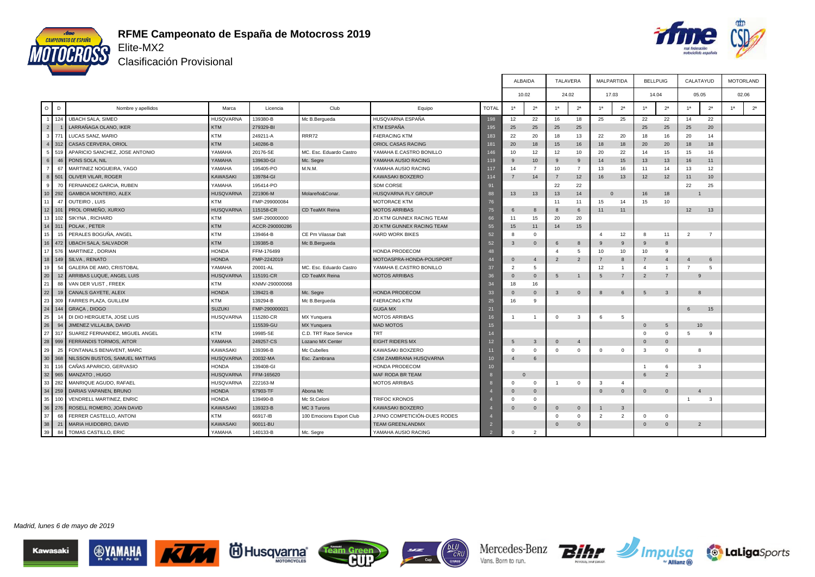



Clasificación Provisional

|                       |                                 |                  |                |                          |                               |                 |                | <b>ALBAIDA</b>   | <b>TALAVERA</b> |                | <b>MALPARTIDA</b> |                | <b>BELLPUIG</b>         |                |                | CALATAYUD      |                | <b>MOTORLAND</b> |
|-----------------------|---------------------------------|------------------|----------------|--------------------------|-------------------------------|-----------------|----------------|------------------|-----------------|----------------|-------------------|----------------|-------------------------|----------------|----------------|----------------|----------------|------------------|
|                       |                                 |                  |                |                          |                               |                 |                | 10.02            | 24.02           |                | 17.03             |                | 14.04                   |                |                | 05.05          |                | 02.06            |
| D<br>$\circ$          | Nombre y apellidos              | Marca            | Licencia       | Club                     | Equipo                        | <b>TOTAL</b>    | 1 <sup>a</sup> | 2 <sup>a</sup>   | 1 <sup>a</sup>  | 2 <sup>a</sup> | 1 <sup>a</sup>    | 2 <sup>a</sup> | 1 <sup>a</sup>          | 2 <sup>a</sup> | 1 <sup>a</sup> | 2 <sup>a</sup> | 1 <sup>a</sup> | 2 <sup>a</sup>   |
| 124                   | <b>UBACH SALA, SIMEO</b>        | <b>HUSQVARNA</b> | 139380-B       | Mc B.Bergueda            | HUSQVARNA ESPAÑA              | 198             | 12             | 22               | 16              | 18             | 25                | 25             | 22                      | 22             | 14             | 22             |                |                  |
| 2 <sup>1</sup>        | LARRAÑAGA OLANO, IKER           | <b>KTM</b>       | 279329-BI      |                          | KTM ESPAÑA                    | 195             | 25             | 25               | 25              | 25             |                   |                | 25                      | 25             | 25             | 20             |                |                  |
| 3 <sup>1</sup><br>771 | LUCAS SANZ, MARIO               | <b>KTM</b>       | 249211-A       | RRR72                    | <b>F4ERACING KTM</b>          | 183             | 22             | 20               | 18              | 13             | 22                | 20             | 18                      | 16             | 20             | 14             |                |                  |
| 312<br>4 <sup>1</sup> | CASAS CERVERA, ORIOL            | <b>KTM</b>       | 140286-B       |                          | ORIOL CASAS RACING            | 181             | 20             | 18               | 15              | 16             | 18                | 18             | 20                      | 20             | 18             | 18             |                |                  |
| 519<br>5 <sub>1</sub> | APARICIO SANCHEZ, JOSE ANTONIO  | YAMAHA           | 20176-SE       | MC. Esc. Eduardo Castro  | YAMAHA E.CASTRO BONILLO       | 146             | 10             | 12               | 12              | 10             | 20                | 22             | 14                      | 15             | 15             | 16             |                |                  |
| 6<br>46               | PONS SOLA, NIL                  | YAMAHA           | 139630-GI      | Mc. Segre                | YAMAHA AUSIO RACING           | 11 <sub>S</sub> | $\mathbf{q}$   | 10 <sup>10</sup> | 9               | 9              | 14                | 15             | 13                      | 13             | 16             | 11             |                |                  |
| 67<br>$\overline{7}$  | MARTINEZ NOGUEIRA, YAGO         | YAMAHA           | 195405-PO      | M.N.M.                   | YAMAHA AUSIO RACING           | 117             | 14             | $\overline{7}$   | 10              | $\overline{7}$ | 13                | 16             | 11                      | 14             | 13             | 12             |                |                  |
| 8 <sup>1</sup><br>501 | OLIVER VILAR, ROGER             | <b>KAWASAKI</b>  | 139784-GI      |                          | KAWASAKI BOXZERO              | 114             |                | 14               | $\overline{7}$  | 12             | 16                | 13             | 12                      | 12             | 11             | 10             |                |                  |
| 70<br>9 <sup>1</sup>  | FERNANDEZ GARCIA, RUBEN         | YAMAHA           | 195414-PO      |                          | SDM CORSE                     | 91              |                |                  | 22              | 22             |                   |                |                         |                | 22             | 25             |                |                  |
| $10$   292            | GAMBOA MONTERO, ALEX            | <b>HUSQVARNA</b> | 221906-M       | Molareño&Conar           | HUSQVARNA FLY GROUP           | 88              | 13             | 13               | 13              | 14             | $\mathbf{0}$      |                | 16                      | 18             |                |                |                |                  |
| 47<br>11              | OUTEIRO, LUIS                   | KTM              | FMP-299000084  |                          | MOTORACE KTM                  | 76              |                |                  | 11              | 11             | 15                | 14             | 15                      | 10             |                |                |                |                  |
| $12$ 101              | PROL ORMEÑO, XURXO              | <b>HUSQVARNA</b> | 115158-CR      | CD TeaMX Reina           | <b>MOTOS ARRIBAS</b>          | 75              | -6             | 8                | $\mathbf{8}$    | 6              | 11                | 11             |                         |                | 12             | 13             |                |                  |
| 13                    | SIKYNA, RICHARD                 | <b>KTM</b>       | SMF-290000000  |                          | JD KTM GUNNEX RACING TEAM     | 66              | 11             | 15               | 20              | 20             |                   |                |                         |                |                |                |                |                  |
| 14 311                | POLAK, PETER                    | <b>KTM</b>       | ACCR-290000286 |                          | JD KTM GUNNEX RACING TEAM     | 55              | 15             | 11               | 14              | 15             |                   |                |                         |                |                |                |                |                  |
| 15<br>15              | PERALES BOGUÑA, ANGEL           | <b>KTM</b>       | 139464-B       | CE Pm Vilassar Dalt      | <b>HARD WORK BIKES</b>        | 52              |                | $\Omega$         |                 |                | $\mathbf{A}$      | 12             | -8                      | 11             | $\overline{2}$ | $\overline{7}$ |                |                  |
| 16<br>472             | <b>UBACH SALA, SALVADOR</b>     | <b>KTM</b>       | 139385-B       | Mc B.Bergueda            |                               | 52              | $\mathbf{3}$   | $\Omega$         | 6               | $\mathbf{8}$   | 9                 | 9              | 9                       | 8              |                |                |                |                  |
| 17 576                | MARTINEZ, DORIAN                | <b>HONDA</b>     | FFM-176499     |                          | HONDA PRODECOM                | 48              |                |                  |                 | -5             | 10                | 10             | 10                      | -9             |                |                |                |                  |
| 18<br>149             | SILVA, RENATO                   | <b>HONDA</b>     | FMP-2242019    |                          | MOTOASPRA-HONDA-POLISPORT     | 44              | $\Omega$       | $\overline{4}$   | $\overline{2}$  | $\overline{2}$ |                   | $\mathbf{8}$   |                         | $\overline{4}$ | $\overline{4}$ | 6              |                |                  |
| 19<br>54              | <b>GALERA DE AMO, CRISTOBAL</b> | YAMAHA           | 20001-AL       | MC. Esc. Eduardo Castro  | YAMAHA E.CASTRO BONILLO       | 37              | $\overline{2}$ | -5               |                 |                | 12                |                | $\mathbf{A}$            |                | $\overline{7}$ | $5^{\circ}$    |                |                  |
| 20<br>12              | ARRIBAS LUQUE, ANGEL LUIS       | <b>HUSQVARNA</b> | 115191-CR      | CD TeaMX Reina           | <b>MOTOS ARRIBAS</b>          | 36              | $\Omega$       | $\mathbf{0}$     | 5               | $\overline{1}$ | 5                 | $\overline{7}$ | 2                       | $\overline{7}$ |                | 9              |                |                  |
| 21<br>88              | VAN DER VLIST, FREEK            | KTM              | KNMV-290000068 |                          |                               | 34              | 18             | 16               |                 |                |                   |                |                         |                |                |                |                |                  |
| 22<br>19              | CANALS GAYETE, ALEIX            | <b>HONDA</b>     | 139421-B       | Mc. Segre                | HONDA PRODECOM                | 33              | $\Omega$       | $\Omega$         | 3               | $\Omega$       | 8                 | 6              | $\overline{5}$          | $\mathbf{3}$   |                | $\mathbf{8}$   |                |                  |
| 23<br>309             | FARRES PLAZA, GUILLEM           | <b>KTM</b>       | 139294-B       | Mc B.Bergueda            | <b>F4ERACING KTM</b>          | 25              | 16             | $\mathbf{Q}$     |                 |                |                   |                |                         |                |                |                |                |                  |
| 24<br>144             | GRAÇA, DIOGO                    | <b>SUZUKI</b>    | FMP-290000021  |                          | <b>GUGA MX</b>                | 21              |                |                  |                 |                |                   |                |                         |                | 6              | 15             |                |                  |
| 25<br>14              | DI DIO HERGUETA, JOSE LUIS      | <b>HUSQVARNA</b> | 115280-CR      | MX Yunquera              | <b>MOTOS ARRIBAS</b>          | 16              |                | $\overline{1}$   | $\Omega$        | 3              | -6                | 5              |                         |                |                |                |                |                  |
| 26<br>94              | JIMENEZ VILLALBA, DAVID         |                  | 115539-GU      | MX Yunquera              | <b>MAD MOTOS</b>              | 15              |                |                  |                 |                |                   |                | $\mathbf{0}$            | 5              |                | 10             |                |                  |
| 27<br>317             | SUAREZ FERNANDEZ, MIGUEL ANGEL  | KTM              | 19985-SE       | C.D. TRT Race Service    | <b>TRT</b>                    | 14              |                |                  |                 |                |                   |                | $\Omega$                | $^{\circ}$     | 5              | -9             |                |                  |
| 28<br>999             | FERRANDIS TORMOS, AITOR         | YAMAHA           | 249257-CS      | Lozano MX Center         | <b>EIGHT RIDERS MX</b>        | 12              | -5             | $\mathbf{3}$     | $\Omega$        | $\overline{4}$ |                   |                | $\Omega$                | $\overline{0}$ |                |                |                |                  |
| 29<br>25              | FONTANALS BENAVENT, MARC        | <b>KAWASAKI</b>  | 139396-B       | Mc Cubelles              | KAWASAKI BOXZERO              | 11              | $\Omega$       | $\Omega$         | $\Omega$        | $\Omega$       | $\Omega$          | $\Omega$       | $\overline{\mathbf{3}}$ | $^{\circ}$     |                | 8              |                |                  |
| 30<br>368             | NILSSON BUSTOS, SAMUEL MATTIAS  | <b>HUSQVARNA</b> | 20032-MA       | Esc. Zambrana            | CSM ZAMBRANA HUSQVARNA        | 10              | $\mathbf{A}$   | 6                |                 |                |                   |                |                         |                |                |                |                |                  |
| 31<br>116             | CAÑAS APARICIO, GERVASIO        | <b>HONDA</b>     | 139408-GI      |                          | HONDA PRODECOM                | 10              |                |                  |                 |                |                   |                | $\overline{1}$          | 6              |                | 3              |                |                  |
| 32 965                | MANZATO, HUGO                   | <b>HUSQVARNA</b> | FFM-165620     |                          | MAF RODA BR TEAM              |                 |                | $\mathbf{0}$     |                 |                |                   |                | 6                       | $\overline{2}$ |                |                |                |                  |
| 33<br>282             | MANRIQUE AGUDO, RAFAEL          | <b>HUSQVARNA</b> | 222163-M       |                          | <b>MOTOS ARRIBAS</b>          |                 | $\Omega$       | $\Omega$         | -1              | $\Omega$       | 3                 | $\mathbf{A}$   |                         |                |                |                |                |                  |
| 34<br>259             | DARIAS VAPANEN, BRUNO           | <b>HONDA</b>     | 67903-TF       | Abona Mc                 |                               |                 | $\Omega$       | $\Omega$         |                 |                | $\Omega$          | $\mathbf 0$    | $\mathbf{0}$            | $\overline{0}$ |                | $\overline{4}$ |                |                  |
| 35<br>100             | VENDRELL MARTINEZ, ENRIC        | <b>HONDA</b>     | 139490-B       | Mc St.Celoni             | <b>TRIFOC KRONOS</b>          |                 |                | $\Omega$         |                 |                |                   |                |                         |                | $\overline{1}$ | $\mathbf{3}$   |                |                  |
| 36<br>276             | ROSELL ROMERO, JOAN DAVID       | <b>KAWASAKI</b>  | 139323-B       | MC 3 Turons              | <b>KAWASAKI BOXZERO</b>       |                 |                | $\Omega$         | $\Omega$        | $\overline{0}$ |                   | $\mathbf{3}$   |                         |                |                |                |                |                  |
| 37<br>68              | FERRER CASTELLO, ANTONI         | <b>KTM</b>       | 66917-IB       | 100 Emocions Esport Club | J.PINO COMPETICIÓN-DUES RODES |                 |                |                  | $\Omega$        | $\Omega$       | 2                 | $\overline{2}$ | $\Omega$                | $\mathbf 0$    |                |                |                |                  |
| 38<br>21              | MARIA HUIDOBRO, DAVID           | <b>KAWASAKI</b>  | 90011-BU       |                          | <b>TEAM GREENLANDMX</b>       | $\overline{2}$  |                |                  | $\Omega$        | $\Omega$       |                   |                | $\Omega$                | $\overline{0}$ |                | $\overline{2}$ |                |                  |
| 39<br>84              | TOMAS CASTILLO, ERIC            | YAMAHA           | 140133-B       | Mc. Segre                | YAMAHA AUSIO RACING           |                 | $\Omega$       | 2                |                 |                |                   |                |                         |                |                |                |                |                  |

Madrid, lunes 6 de mayo de 2019









Mercedes-Benz Vans. Born to run.



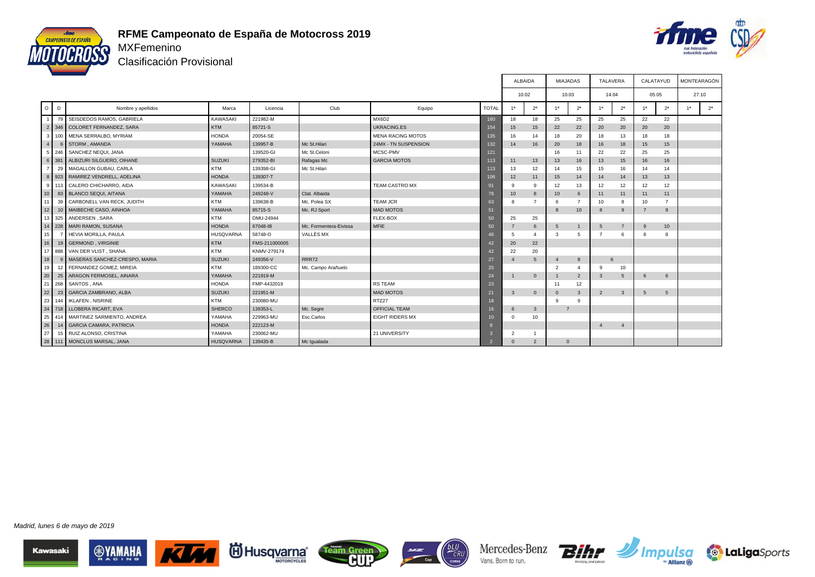



Clasificación Provisional

|                 |                 |                                   |                  |               |                        |                          |                | ALBAIDA        |                | <b>MIAJADAS</b> |                | TALAVERA        |                | CALATAYUD      |                |    | MONTEARAGÓN    |
|-----------------|-----------------|-----------------------------------|------------------|---------------|------------------------|--------------------------|----------------|----------------|----------------|-----------------|----------------|-----------------|----------------|----------------|----------------|----|----------------|
|                 |                 |                                   |                  |               |                        |                          |                | 10.02          |                | 10.03           |                | 14.04           |                | 05.05          |                |    | 27.10          |
| $\circ$         | D               | Nombre y apellidos                | Marca            | Licencia      | Club                   | Equipo                   | <b>TOTAL</b>   | 1a             | 2 <sup>a</sup> | 1a              | 2 <sup>a</sup> | 1a              | 2 <sup>a</sup> | 1 <sup>a</sup> | 2 <sup>a</sup> | 1a | 2 <sup>a</sup> |
|                 | 79              | SEISDEDOS RAMOS, GABRIELA         | KAWASAKI         | 221982-M      |                        | MX6D2                    | 180            | 18             | 18             | 25              | 25             | 25              | 25             | 22             | 22             |    |                |
|                 |                 | 2 346 COLORET FERNANDEZ, SARA     | <b>KTM</b>       | 85721-S       |                        | <b>UKRACING.ES</b>       | 154            | 15             | 15             | 22              | 22             | 20              | 20             | 20             | 20             |    |                |
|                 | $3 \mid 100$    | MENA SERRALBO, MYRIAM             | <b>HONDA</b>     | 20054-SE      |                        | <b>MENA RACING MOTOS</b> | 135            | 16             | 14             | 18              | 20             | 18              | 13             | 18             | 18             |    |                |
| 4               |                 | 6 STORM . AMANDA                  | YAMAHA           | 139957-B      | Mc St.Hilari           | 24MX - TN SUSPENSION     | 132            | 14             | 16             | 20              | 18             | 16              | 18             | 15             | 15             |    |                |
|                 | 5 246           | SANCHEZ NEQUI, JANA               |                  | 139520-GI     | Mc St.Celoni           | MCSC-PMV                 | 121            |                |                | 16              | 11             | 22              | 22             | 25             | 25             |    |                |
|                 |                 | 6 381 ALBIZURI SILGUERO, OIHANE   | <b>SUZUKI</b>    | 279352-BI     | Rafagas Mc             | <b>GARCIA MOTOS</b>      | 113            | 11             | 13             | 13              | 16             | 13              | 15             | 16             | 16             |    |                |
| 7 <sup>1</sup>  |                 | 29 MAGALLON GUBAU, CARLA          | <b>KTM</b>       | 139398-GI     | Mc St.Hilari           |                          | 113            | 13             | 12             | 14              | 15             | 15              | 16             | 14             | 14             |    |                |
|                 | 8 923           | RAMIREZ VENDRELL, ADELINA         | <b>HONDA</b>     | 139307-T      |                        |                          | 106            | 12             | 11             | 15              | 14             | 14              | 14             | 13             | 13             |    |                |
|                 |                 | 9 113 CALERO CHICHARRO, AIDA      | KAWASAKI         | 139534-B      |                        | <b>TEAM CASTRO MX</b>    | 91             | 9              | 9              | 12              | 13             | 12              | 12             | 12             | 12             |    |                |
| 10 <sup>1</sup> |                 | 83 BLANCO SEQUI, AITANA           | YAMAHA           | 249248-V      | Ctat, Albaida          |                          | 78             | 10             | 8              | 10              | 6              | 11              | 11             | 11             | 11             |    |                |
| 11              |                 | 39 CARBONELL VAN RECK, JUDITH     | <b>KTM</b>       | 139638-B      | Mc. Polea SX           | <b>TEAM JCR</b>          | 63             | 8              |                | -6              | $\overline{7}$ | 10              | 8              | 10             | $\overline{7}$ |    |                |
| 12              | 10 <sup>1</sup> | MAIBECHE CASO, AINHOA             | YAMAHA           | 85715-S       | Mc. RJ Sport           | <b>MAD MOTOS</b>         | 51             |                |                | 8               | 10             | -8              | 9              | $\overline{7}$ | 9              |    |                |
|                 |                 | 13 325 ANDERSEN, SARA             | <b>KTM</b>       | DMU-24944     |                        | FLEX-BOX                 | 50             | 25             | 25             |                 |                |                 |                |                |                |    |                |
|                 |                 | 14 228 MARI RAMON, SUSANA         | <b>HONDA</b>     | 67048-IB      | Mc. Formentera-Eivissa | <b>MFIE</b>              | 50             |                | 6              | $5\overline{5}$ | $\overline{1}$ | $5^{\circ}$     | $\overline{7}$ | 9              | 10             |    |                |
| 15 <sup>1</sup> |                 | <b>HEVIA MORILLA, PAULA</b>       | <b>HUSQVARNA</b> | 58748-O       | VALLÉS MX              |                          | 46             | 5              | $\overline{4}$ | 3               | 5              | $\overline{7}$  | 6              | 8              | 8              |    |                |
| 16 <sup>1</sup> |                 | 19 GERMOND, VIRGINIE              | <b>KTM</b>       | FMS-211000005 |                        |                          | $\overline{A}$ | 20             | 22             |                 |                |                 |                |                |                |    |                |
|                 | 17 888          | VAN DER VLIST, SHANA              | <b>KTM</b>       | KNMV-279174   |                        |                          | 42             | 22             | 20             |                 |                |                 |                |                |                |    |                |
| 18              |                 | 9 MASERAS SANCHEZ-CRESPO, MARIA   | <b>SUZUKI</b>    | 249356-V      | RRR72                  |                          | 27             | $\overline{4}$ | 5              | $\overline{4}$  | 8              | $6\overline{6}$ |                |                |                |    |                |
| 19              | 12              | FERNANDEZ GOMEZ, MIREIA           | <b>KTM</b>       | 189300-CC     | Mc. Campo Arañuelo     |                          | 25             |                |                | $\overline{2}$  | $\overline{4}$ | ۰Q              | 10             |                |                |    |                |
| 20              |                 | 25 ARAGON FERMOSEL, AINARA        | YAMAHA           | 221919-M      |                        |                          | 24             |                | $\overline{0}$ |                 | 2              | $\mathbf{3}$    | 5              | 6              | 6              |    |                |
|                 | 21 268          | SANTOS, ANA                       | <b>HONDA</b>     | FMP-4432019   |                        | <b>RS TEAM</b>           | 23             |                |                | 11              | 12             |                 |                |                |                |    |                |
| 22              | 23              | <b>GARCIA ZAMBRANO, ALBA</b>      | <b>SUZUKI</b>    | 221951-M      |                        | <b>MAD MOTOS</b>         | 21             | $\mathbf{3}$   | $\mathbf 0$    | $\Omega$        | 3              | 2               | $\mathbf{3}$   | $5^{\circ}$    | $5^{\circ}$    |    |                |
|                 | 23 144          | <b>IKLAFEN, NISRINE</b>           | <b>KTM</b>       | 230080-MU     |                        | RTZ27                    | 18             |                |                | q               | 9              |                 |                |                |                |    |                |
|                 |                 | 24 718 LLOBERA RICART, EVA        | <b>SHERCO</b>    | 139353-L      | Mc. Segre              | <b>OFFICIAL TEAM</b>     | 16             | 6              | $\mathbf{3}$   | $\overline{7}$  |                |                 |                |                |                |    |                |
|                 |                 | 25 414 MARTINEZ SARMIENTO, ANDREA | YAMAHA           | 229963-MU     | Esc.Carlos             | <b>EIGHT RIDERS MX</b>   | 10             | $\Omega$       | 10             |                 |                |                 |                |                |                |    |                |
| 26              | 14              | GARCIA CAMARA, PATRICIA           | <b>HONDA</b>     | 222123-M      |                        |                          |                |                |                |                 |                | $\mathbf{A}$    | $\overline{4}$ |                |                |    |                |
| 27              |                 | 15 RUIZ ALONSO, CRISTINA          | YAMAHA           | 230062-MU     |                        | 21 UNIVERSITY            |                | $\overline{2}$ |                |                 |                |                 |                |                |                |    |                |
|                 |                 | 28 111 MONCLUS MARSAL, JANA       | <b>HUSQVARNA</b> | 139435-B      | Mc Igualada            |                          |                | $\Omega$       | $\overline{2}$ | $\Omega$        |                |                 |                |                |                |    |                |













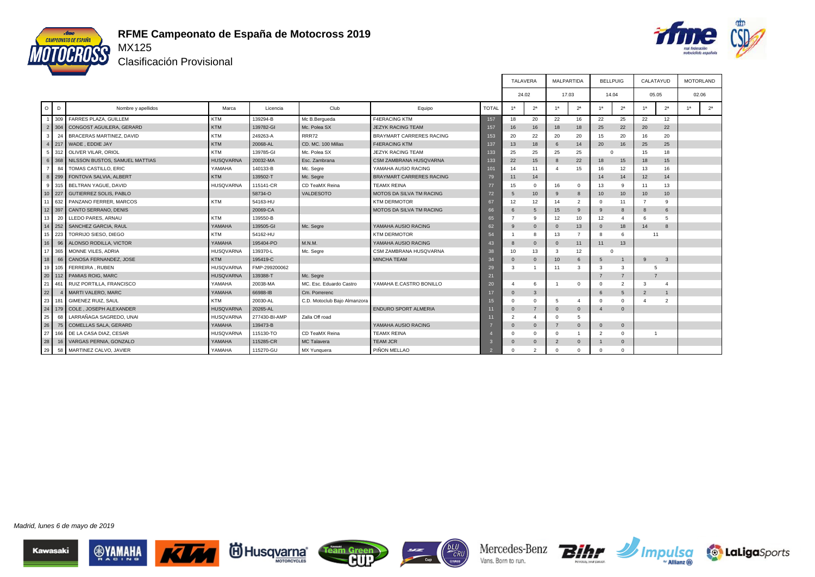



т

Clasificación Provisional

|                |     |                                    |                  |               |                              |                                 |              | TALAVERA        |                         | MALPARTIDA     |                         | <b>BELLPUIG</b> |                       | CALATAYUD        |                | MOTORLAND |                |
|----------------|-----|------------------------------------|------------------|---------------|------------------------------|---------------------------------|--------------|-----------------|-------------------------|----------------|-------------------------|-----------------|-----------------------|------------------|----------------|-----------|----------------|
|                |     |                                    |                  |               |                              |                                 |              | 24.02           |                         | 17.03          |                         | 14.04           |                       | 05.05            |                | 02.06     |                |
| $\circ$        | D   | Nombre y apellidos                 | Marca            | Licencia      | Club                         | Equipo                          | <b>TOTAL</b> | 1 <sup>a</sup>  | 2 <sup>a</sup>          | 1 <sup>a</sup> | 2 <sup>a</sup>          | 1 <sup>a</sup>  | 2 <sup>a</sup>        | 1 <sup>a</sup>   | 2 <sup>a</sup> | 1a        | 2 <sup>a</sup> |
|                |     | 309 FARRES PLAZA, GUILLEM          | <b>KTM</b>       | 139294-B      | Mc B.Bergueda                | <b>F4ERACING KTM</b>            | 157          | 18              | 20                      | 22             | 16                      | 22              | 25                    | 22               | 12             |           |                |
| $\overline{2}$ |     | 304 CONGOST AGUILERA, GERARD       | <b>KTM</b>       | 139782-GI     | Mc. Polea SX                 | <b>JEZYK RACING TEAM</b>        | 157          | 16              | 16                      | 18             | 18                      | 25              | 22                    | 20               | 22             |           |                |
| 3              | 24  | <b>BRACERAS MARTINEZ, DAVID</b>    | <b>KTM</b>       | 249263-A      | <b>RRR72</b>                 | <b>BRAYMART CARRERES RACING</b> | 153          | 20              | 22                      | 20             | 20                      | 15              | 20                    | 16               | 20             |           |                |
|                |     | 4 217 WADE, EDDIE JAY              | <b>KTM</b>       | 20068-AL      | CD, MC, 100 Millas           | <b>F4ERACING KTM</b>            | 137          | 13              | 18                      | 6              | 14                      | 20              | 16                    | 25               | 25             |           |                |
|                |     | 5 312 OLIVER VILAR, ORIOL          | <b>KTM</b>       | 139785-GI     | Mc. Polea SX                 | <b>JEZYK RACING TEAM</b>        | 133          | 25              | 25                      | 25             | 25                      | c               |                       | 15               | 18             |           |                |
| 6              |     | 368 NILSSON BUSTOS, SAMUEL MATTIAS | <b>HUSQVARNA</b> | 20032-MA      | Esc. Zambrana                | CSM ZAMBRANA HUSQVARNA          | 133          | 22              | 15                      | $\mathbf{a}$   | 22                      | 18              | 15                    | 18               | 15             |           |                |
|                | 84  | TOMAS CASTILLO, ERIC               | YAMAHA           | 140133-B      | Mc. Segre                    | YAMAHA AUSIO RACING             | 101          | 14              | 11                      |                | 15                      | 16              | 12                    | 13               | 16             |           |                |
| $\mathbf{8}$   | 299 | FONTOVA SALVIA, ALBERT             | <b>KTM</b>       | 139502-T      | Mc. Segre                    | <b>BRAYMART CARRERES RACING</b> | 79           | 11              | 14                      |                |                         | 14              | 14                    | 12               | 14             |           |                |
| 9 <sup>1</sup> |     | 315 BELTRAN YAGUE, DAVID           | <b>HUSQVARNA</b> | 115141-CR     | CD TeaMX Reina               | <b>TEAMX REINA</b>              | 77           | 15              | $^{\circ}$              | 16             | $\mathbf 0$             | 13              | 9                     | 11               | 13             |           |                |
|                |     | 10 227 GUTIERREZ SOLIS, PABLO      |                  | 58734-O       | <b>VALDESOTO</b>             | <b>MOTOS DA SILVA TM RACING</b> | 72           | 5               | 10 <sup>10</sup>        | 9              | 8                       | 10              | 10                    | 10 <sup>10</sup> | 10             |           |                |
| 11             | 632 | PANZANO FERRER, MARCOS             | <b>KTM</b>       | 54163-HU      |                              | <b>KTM DERMOTOR</b>             | 67           | 12              | 12                      | 14             | $\overline{\mathbf{c}}$ | $\Omega$        | 11                    | $\overline{7}$   | q              |           |                |
| 12             | 397 | CANTO SERRANO, DENIS               |                  | 20069-CA      |                              | <b>MOTOS DA SILVA TM RACING</b> | 66           | 6               | 5                       | 15             | 9                       | 9               | 8                     | 8                | 6              |           |                |
| l 13           | 20  | LLEDO PARES, ARNAU                 | <b>KTM</b>       | 139550-B      |                              |                                 | 65           | $\overline{7}$  | 9                       | 12             | 10                      | 12              | $\boldsymbol{\Delta}$ | 6                | 5              |           |                |
| 14             | 252 | SANCHEZ GARCIA, RAUL               | YAMAHA           | 139505-GI     | Mc. Segre                    | YAMAHA AUSIO RACING             | 62           | 9               | $\Omega$                | $\Omega$       | 13                      | $\Omega$        | 18                    | 14               | $\mathbf{8}$   |           |                |
| 15             | 223 | TORRIJO SIESO, DIEGO               | <b>KTM</b>       | 54162-HU      |                              | <b>KTM DERMOTOR</b>             | 54           |                 | 8                       | 13             | $\overline{7}$          | $\mathbf{R}$    | 6                     | 11               |                |           |                |
| 16             | 96  | ALONSO RODILLA, VICTOR             | YAMAHA           | 195404-PO     | M.N.M.                       | YAMAHA AUSIO RACING             | 43           | 8               | $\mathbf{0}$            | $\Omega$       | 11                      | 11              | 13                    |                  |                |           |                |
| I 17           | 365 | MONNE VILES, ADRIA                 | <b>HUSQVARNA</b> | 139370-L      | Mc. Segre                    | CSM ZAMBRANA HUSQVARNA          | 38           | 10 <sup>1</sup> | 13                      | 3              | 12                      | C               |                       |                  |                |           |                |
| 18             | 66  | CANOSA FERNANDEZ, JOSE             | <b>KTM</b>       | 195419-C      |                              | <b>MINCHA TEAM</b>              | 34           | $\Omega$        | $\Omega$                | 10             | 6                       | $5^{\circ}$     | $\mathbf{1}$          | $\mathsf{Q}$     | $\mathbf{3}$   |           |                |
| 19             | 105 | FERREIRA, RUBEN                    | <b>HUSQVARNA</b> | FMP-299200062 |                              |                                 | 29           | 3               |                         | 11             | 3                       | 3               | 3                     |                  |                |           |                |
| $\sqrt{20}$    |     | 112 PAMIAS ROIG, MARC              | <b>HUSQVARNA</b> | 139388-T      | Mc. Segre                    |                                 | 21           |                 |                         |                |                         |                 | $\overline{7}$        |                  |                |           |                |
| 121            | 461 | RUIZ PORTILLA, FRANCISCO           | YAMAHA           | 20038-MA      | MC. Esc. Eduardo Castro      | YAMAHA E.CASTRO BONILLO         | 20           |                 | 6                       |                | $\Omega$                | $\Omega$        | $\overline{2}$        | 3                | $\Delta$       |           |                |
| 22             |     | MARTI VALERO, MARC                 | YAMAHA           | 66988-IB      | Cm. Porrerenc                |                                 | 17           | $\Omega$        | 3                       |                |                         |                 | 5                     | $\overline{2}$   |                |           |                |
| 23             | 181 | GIMENEZ RUIZ, SAUL                 | <b>KTM</b>       | 20030-AL      | C.D. Motoclub Bajo Almanzora |                                 | 15           | $\Omega$        | $\Omega$                | 5              | $\Delta$                | $\Omega$        | $\circ$               |                  | $\overline{2}$ |           |                |
| 124            |     | 179 COLE . JOSEPH ALEXANDER        | <b>HUSQVARNA</b> | 20265-AL      |                              | <b>ENDURO SPORT ALMERIA</b>     |              | $\Omega$        | $\overline{7}$          | $\Omega$       | $\mathbf{0}$            | $\mathbf{A}$    | $\Omega$              |                  |                |           |                |
| 25             | 68  | LARRAÑAGA SAGREDO, UNAI            | <b>HUSQVARNA</b> | 277430-BI-AMP | Zalla Off road               |                                 | 11           | $\overline{2}$  | $\overline{4}$          | $\Omega$       | 5                       |                 |                       |                  |                |           |                |
| 26             |     | 75 COMELLAS SALA, GERARD           | YAMAHA           | 139473-B      |                              | YAMAHA AUSIO RACING             |              | $\Omega$        | $\Omega$                |                | $\Omega$                | $\Omega$        | $\Omega$              |                  |                |           |                |
| 27             | 166 | DE LA CASA DIAZ, CESAR             | <b>HUSQVARNA</b> | 115130-TO     | CD TeaMX Reina               | <b>TEAMX REINA</b>              |              | <sup>0</sup>    | $\Omega$                | $\Omega$       | $\overline{1}$          | $\overline{2}$  | $\circ$               |                  |                |           |                |
| 128            |     | 16 VARGAS PERNIA, GONZALO          | YAMAHA           | 115285-CR     | MC Talavera                  | <b>TEAM JCR</b>                 |              | $\Omega$        | $\mathbf{0}$            | $\overline{2}$ | $\mathbf{0}$            |                 | $\mathbf{0}$          |                  |                |           |                |
| 29             |     | 58 MARTINEZ CALVO, JAVIER          | YAMAHA           | 115270-GU     | MX Yunquera                  | PIÑON MELLAO                    |              | $\Omega$        | $\overline{\mathbf{c}}$ | $\Omega$       | $\Omega$                |                 | $\Omega$              |                  |                |           |                |

Madrid, lunes 6 de mayo de 2019











Г

┱

┱

т



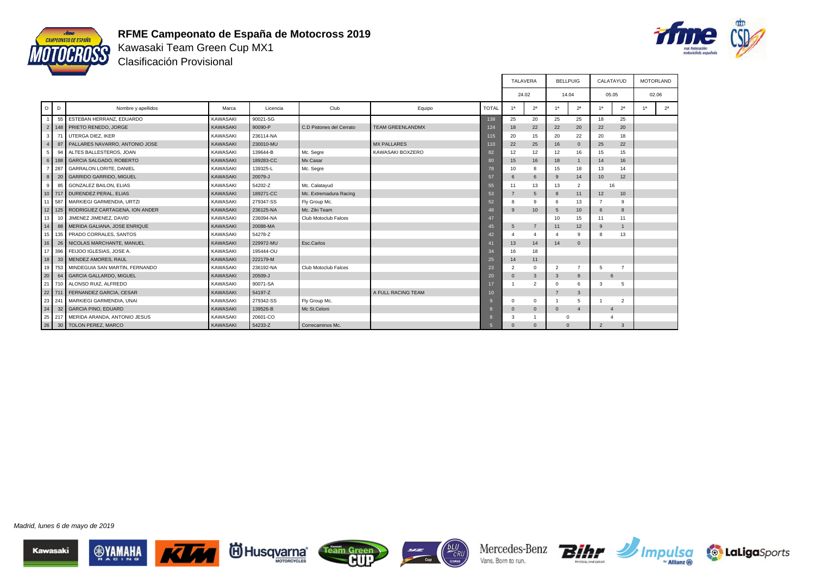



Kawasaki Team Green Cup MX1 Clasificación Provisional

|                 |           |                                           |                 |           |                          |                         |                 | <b>TALAVERA</b> |                  |                 | <b>BELLPUIG</b> | CALATAYUD       |                 | <b>MOTORLAND</b> |                |
|-----------------|-----------|-------------------------------------------|-----------------|-----------|--------------------------|-------------------------|-----------------|-----------------|------------------|-----------------|-----------------|-----------------|-----------------|------------------|----------------|
|                 |           |                                           |                 |           |                          |                         |                 | 24.02           |                  |                 | 14.04           | 05.05           |                 |                  | 02.06          |
|                 | $O$ $D$   | Nombre y apellidos                        | Marca           | Licencia  | Club                     | Equipo                  | <b>TOTAL</b>    | 1 <sup>a</sup>  | 2 <sup>a</sup>   | 1 <sup>a</sup>  | 2 <sup>a</sup>  | 1 <sup>a</sup>  | 2 <sup>a</sup>  | 1a               | 2 <sup>a</sup> |
|                 | 55        | ESTEBAN HERRANZ, EDUARDO                  | <b>KAWASAKI</b> | 90021-SG  |                          |                         | 138             | 25              | 20               | 25              | 25              | 18              | 25              |                  |                |
|                 |           | 2 148 PRIETO RENEDO, JORGE                | <b>KAWASAKI</b> | 90090-P   | C.D Pistones del Cerrato | <b>TEAM GREENLANDMX</b> | 124             | 18              | 22               | 22              | 20              | 22              | 20              |                  |                |
| 3               | 71        | <b>UTERGA DIEZ, IKER</b>                  | <b>KAWASAKI</b> | 236114-NA |                          |                         | 115             | 20              | 15               | 20              | 22              | 20              | 18              |                  |                |
|                 | 87        | PALLARES NAVARRO, ANTONIO JOSE            | <b>KAWASAKI</b> | 230010-MU |                          | MX PALLARES             | 110             | 22              | 25               | 16              | $\mathbf{0}$    | 25              | 22              |                  |                |
| 5               | 94        | ALTES BALLESTEROS, JOAN                   | <b>KAWASAKI</b> | 139644-B  | Mc. Segre                | KAWASAKI BOXZERO        | 82              | 12              | 12               | 12              | 16              | 15              | 15              |                  |                |
|                 | $6$   188 | <b>GARCIA SALGADO, ROBERTO</b>            | <b>KAWASAKI</b> | 189283-CC | Mx Casar                 |                         | 80              | 15              | 16               | 18              | $\mathbf{1}$    | 14              | 16              |                  |                |
|                 | 287       | <b>GARRALON LORITE, DANIEL</b>            | <b>KAWASAKI</b> | 139325-L  | Mc. Segre                |                         | 78              | 10              | 8                | 15              | 18              | 13              | 14              |                  |                |
| 8 <sup>1</sup>  | 20        | <b>GARRIDO GARRIDO, MIGUEL</b>            | <b>KAWASAKI</b> | 20079-J   |                          |                         | 57              | 6               | 6                | 9               | 14              | 10              | 12              |                  |                |
| 9 <sup>1</sup>  | 85        | <b>GONZALEZ BAILON, ELIAS</b>             | KAWASAKI        | 54202-Z   | Mc. Calatayud            |                         | 55              | 11              | 13               | 13              | $\overline{2}$  | 16              |                 |                  |                |
|                 |           | 10 717 DURENDEZ PERAL, ELIAS              | <b>KAWASAKI</b> | 189271-CC | Mc. Extremadura Racing   |                         | 53              | $\overline{7}$  | 5                | 8               | 11              | 12              | 10              |                  |                |
|                 | 11 587    | MARKIEGI GARMENDIA, URTZI                 | <b>KAWASAKI</b> | 279347-SS | Fly Group Mc.            |                         | 52              | 8               | 9                | 6               | 13              | $\overline{7}$  | 9               |                  |                |
|                 |           | 12   125   RODRIGUEZ CARTAGENA, ION ANDER | <b>KAWASAKI</b> | 236125-NA | Mc. Ziki Team            |                         | 48              | 9               | 10 <sup>10</sup> | $5\overline{5}$ | 10              | 6               | $\mathbf{8}$    |                  |                |
| 13              |           | JIMENEZ JIMENEZ, DAVID                    | <b>KAWASAKI</b> | 236094-NA | Club Motoclub Falces     |                         | 47              |                 |                  | 10              | 15              | 11              | 11              |                  |                |
| 14              |           | 88 MERIDA GALIANA, JOSE ENRIQUE           | <b>KAWASAKI</b> | 20088-MA  |                          |                         | 45              | 5               | $\overline{7}$   | 11              | 12              | 9               | $\overline{1}$  |                  |                |
|                 | 15 135    | PRADO CORRALES, SANTOS                    | <b>KAWASAKI</b> | 54278-Z   |                          |                         | 42              |                 | $\mathbf{A}$     |                 | 9               | 8               | 13              |                  |                |
| 16              |           | 26 NICOLAS MARCHANTE, MANUEL              | <b>KAWASAKI</b> | 229972-MU | Esc.Carlos               |                         | 41              | 13              | 14               | 14              | $\Omega$        |                 |                 |                  |                |
| 17              |           | 396 FEIJOO IGLESIAS, JOSE A.              | <b>KAWASAKI</b> | 195444-OU |                          |                         | 34              | 16              | 18               |                 |                 |                 |                 |                  |                |
| 18              | 33        | MENDEZ AMORES, RAUL                       | <b>KAWASAKI</b> | 222179-M  |                          |                         | 25              | 14              | 11               |                 |                 |                 |                 |                  |                |
|                 | 19 753    | MINDEGUIA SAN MARTIN, FERNANDO            | KAWASAKI        | 236192-NA | Club Motoclub Falces     |                         | 23              | $\overline{2}$  | $\mathbf 0$      | $\overline{2}$  | $\overline{7}$  | $5\overline{5}$ | $\overline{7}$  |                  |                |
| $\vert$ 20      | 64        | <b>GARCIA GALLARDO, MIGUEL</b>            | <b>KAWASAKI</b> | 20509-J   |                          |                         | 20              | $\mathbf{0}$    | $\mathbf{3}$     | $\mathbf{3}$    | 8               | 6               |                 |                  |                |
|                 |           | 21 710 ALONSO RUIZ, ALFREDO               | <b>KAWASAKI</b> | 90071-SA  |                          |                         | 17              |                 | $\overline{2}$   | $\Omega$        | 6               | 3               | $5\overline{5}$ |                  |                |
|                 |           | 22 711 FERNANDEZ GARCIA, CESAR            | <b>KAWASAKI</b> | 54197-Z   |                          | A FULL RACING TEAM      | 10 <sup>1</sup> |                 |                  | $\overline{7}$  | 3               |                 |                 |                  |                |
|                 | 23 241    | MARKIEGI GARMENDIA, UNAI                  | <b>KAWASAKI</b> | 279342-SS | Fly Group Mc.            |                         | $\mathbf{Q}$    | $\Omega$        | $\mathbf{0}$     |                 | 5               |                 | $\overline{2}$  |                  |                |
| 24              | 32        | <b>GARCIA PINO, EDUARD</b>                | <b>KAWASAKI</b> | 139526-B  | Mc St.Celoni             |                         | $\mathbf{a}$    | $\mathbf{0}$    | $\mathbf{0}$     | $\mathbf{0}$    | $\overline{4}$  | $\mathbf{A}$    |                 |                  |                |
|                 | 25 217    | MERIDA ARANDA, ANTONIO JESUS              | <b>KAWASAKI</b> | 20601-CO  |                          |                         |                 | 3               |                  |                 | $\Omega$        |                 |                 |                  |                |
| 26 <sup>1</sup> |           | 30   TOLON PEREZ, MARCO                   | <b>KAWASAKI</b> | 54233-Z   | Correcaminos Mc.         |                         |                 | $\Omega$        | $\Omega$         |                 | $\Omega$        | $\overline{2}$  | $\mathbf{3}$    |                  |                |









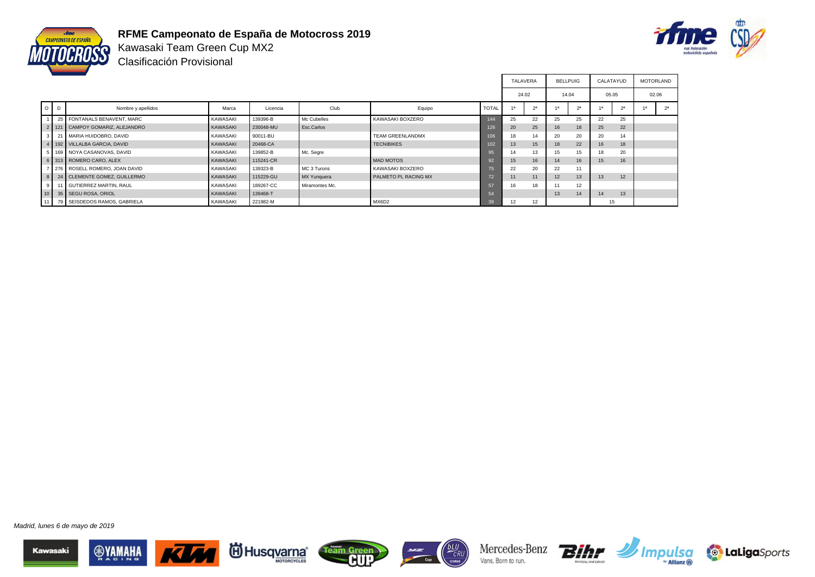



Kawasaki Team Green Cup MX2 Clasificación Provisional

|         |                                     |                 |           |                |                         |              | <b>TALAVERA</b> |                | <b>BELLPUIG</b> |                | CALATAYUD        |                | <b>MOTORLAND</b> |  |
|---------|-------------------------------------|-----------------|-----------|----------------|-------------------------|--------------|-----------------|----------------|-----------------|----------------|------------------|----------------|------------------|--|
|         |                                     |                 |           |                |                         |              | 24.02           |                | 14.04           |                | 05.05            |                | 02.06            |  |
| $O$ $D$ | Nombre y apellidos                  | Marca           | Licencia  | Club           | Equipo                  | <b>TOTAL</b> |                 | 2 <sup>a</sup> | 48              | 2 <sup>a</sup> |                  | 2 <sup>a</sup> |                  |  |
|         | 25 FONTANALS BENAVENT, MARC         | <b>KAWASAKI</b> | 139396-B  | Mc Cubelles    | KAWASAKI BOXZERO        | 144          | 25              | 22             | 25              | 25             | 22               | 25             |                  |  |
|         | 2   121   CAMPOY GOMARIZ, ALEJANDRO | <b>KAWASAKI</b> | 230048-MU | Esc.Carlos     |                         | 126          | 20              | 25             | 16              | 18             | 25               | 22             |                  |  |
|         | 3 21 MARIA HUIDOBRO, DAVID          | KAWASAKI        | 90011-BU  |                | <b>TEAM GREENLANDMX</b> | 106          | 18              | 14             | 20              | 20             | 20               | 14             |                  |  |
|         | 4   192   VILLALBA GARCIA, DAVID    | <b>KAWASAKI</b> | 20468-CA  |                | <b>TECNIBIKES</b>       | 02           | 13              | 15             | 18              | 22             | 16               | 18             |                  |  |
|         | 5   169   NOYA CASANOVAS, DAVID     | KAWASAKI        | 139852-B  | Mc. Segre      |                         | 95           | 14              | 13             | 15              | 15             | 18               | 20             |                  |  |
|         | 6 313 ROMERO CARO, ALEX             | KAWASAKI        | 115241-CR |                | <b>MAD MOTOS</b>        | 92           | 15              | 16             | 14              | 16             | 15 <sup>15</sup> | 16             |                  |  |
|         | 276 ROSELL ROMERO, JOAN DAVID       | KAWASAKI        | 139323-B  | MC 3 Turons    | KAWASAKI BOXZERO        |              | 22              | 20             | 22              | 11             |                  |                |                  |  |
|         | 8 24 CLEMENTE GOMEZ, GUILLERMO      | <b>KAWASAKI</b> | 115229-GU | MX Yunguera    | PALMETO PL RACING MX    |              | 11              | 11             | 12              | 13             | 13               | 12             |                  |  |
|         | 9 11 GUTIERREZ MARTIN, RAUL         | KAWASAKI        | 189267-CC | Miramontes Mc. |                         |              | 16              | 18             |                 | 12             |                  |                |                  |  |
| 110     | 35 SEGU ROSA, ORIOL                 | <b>KAWASAKI</b> | 139468-T  |                |                         |              |                 |                | 13              | 14             | 14               | 13             |                  |  |
|         | 11   79   SEISDEDOS RAMOS, GABRIELA | KAWASAKI        | 221982-M  |                | MX6D2                   | 39           | 12              | 12             |                 |                | 15               |                |                  |  |

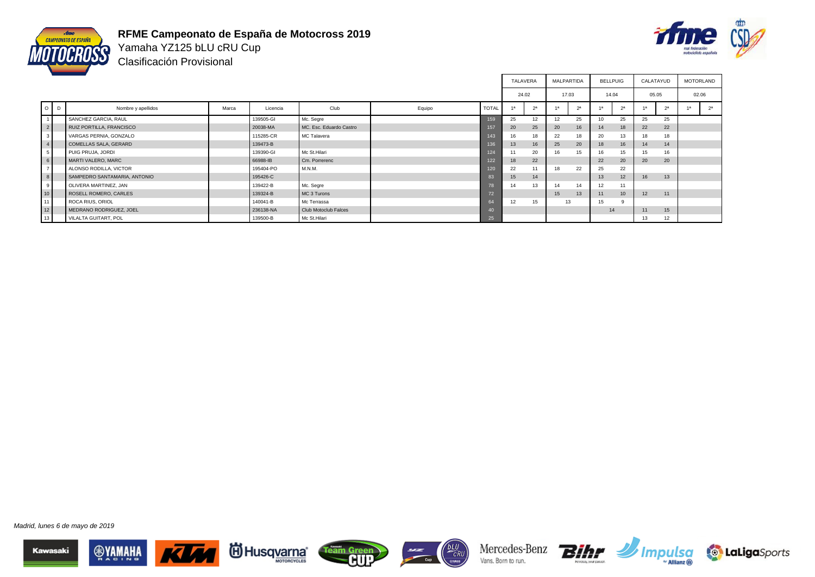



Yamaha YZ125 bLU cRU Cup Clasificación Provisional

|                 |         |                              |       |           |                         |        |                 | TALAVERA |                | <b>MALPARTIDA</b> |                | <b>BELLPUIG</b> |                  | CALATAYUD      |                | <b>MOTORLAND</b> |                |
|-----------------|---------|------------------------------|-------|-----------|-------------------------|--------|-----------------|----------|----------------|-------------------|----------------|-----------------|------------------|----------------|----------------|------------------|----------------|
|                 |         |                              |       |           |                         |        |                 | 24.02    |                | 17.03             |                | 14.04           |                  | 05.05          |                | 02.06            |                |
|                 | $O$ $D$ | Nombre y apellidos           | Marca | Licencia  | Club                    | Equipo | <b>TOTAL</b>    |          | 2 <sup>a</sup> | 1a                | 2 <sup>a</sup> |                 | 2 <sup>a</sup>   | 1 <sub>a</sub> | 2 <sup>a</sup> |                  | 2 <sup>a</sup> |
| $\overline{1}$  |         | SANCHEZ GARCIA, RAUL         |       | 139505-GI | Mc. Segre               |        | 159             | 25       | 12             | 12                | 25             |                 | 25               | 25             | 25             |                  |                |
| $\vert$ 2       |         | RUIZ PORTILLA, FRANCISCO     |       | 20038-MA  | MC. Esc. Eduardo Castro |        | 157             | 20       | 25             | 20                | 16             | 14              | 18               | 22             | 22             |                  |                |
| $\mathbf{3}$    |         | VARGAS PERNIA, GONZALO       |       | 115285-CR | MC Talavera             |        | 143             | 16       | 18             | 22                | 18             | 20              | 13               | 18             | 18             |                  |                |
| $\vert 4 \vert$ |         | COMELLAS SALA, GERARD        |       | 139473-B  |                         |        | 136             | 13       | 16             | 25                | 20             | 18              | 16               | 14             | 14             |                  |                |
| 5 <sup>5</sup>  |         | PUIG PRUJA, JORDI            |       | 139390-GI | Mc St.Hilari            |        | 124             | 11       | 20             | 16                | 15             |                 | 15               | 15             | 16             |                  |                |
| 6               |         | MARTI VALERO, MARC           |       | 66988-IB  | Cm. Porrerenc           |        | 122             | 18       | 22             |                   |                | 22              | 20               | 20             | 20             |                  |                |
| $\overline{7}$  |         | ALONSO RODILLA, VICTOR       |       | 195404-PO | M.N.M.                  |        | 120             | 22       | 11             | 18                | 22             | 25              | 22               |                |                |                  |                |
| $\,$ 8 $\,$     |         | SAMPEDRO SANTAMARIA, ANTONIO |       | 195426-C  |                         |        | 83              | 15       | 14             |                   |                | 13              | 12               | 16             | 13             |                  |                |
| 9               |         | OLIVERA MARTINEZ, JAN        |       | 139422-B  | Mc. Segre               |        | 78              | 14       | 13             | 14                | 14             | 12              | 11               |                |                |                  |                |
| 10              |         | ROSELL ROMERO, CARLES        |       | 139324-B  | MC 3 Turons             |        | 72              |          |                | 15                | 13             | 11              | 10 <sup>10</sup> | 12             | 11             |                  |                |
| 11              |         | ROCA RIUS, ORIOL             |       | 140041-B  | Mc Terrassa             |        | 64              | 12       | 15             |                   | 13             | 15              |                  |                |                |                  |                |
| $\boxed{12}$    |         | MEDRANO RODRIGUEZ, JOEL      |       | 236138-NA | Club Motoclub Falces    |        | 40 <sup>°</sup> |          |                |                   |                | 14              |                  | 11             | 15             |                  |                |
| 13              |         | VILALTA GUITART, POL         |       | 139500-B  | Mc St.Hilari            |        | 25              |          |                |                   |                |                 |                  | 13             | 12             |                  |                |

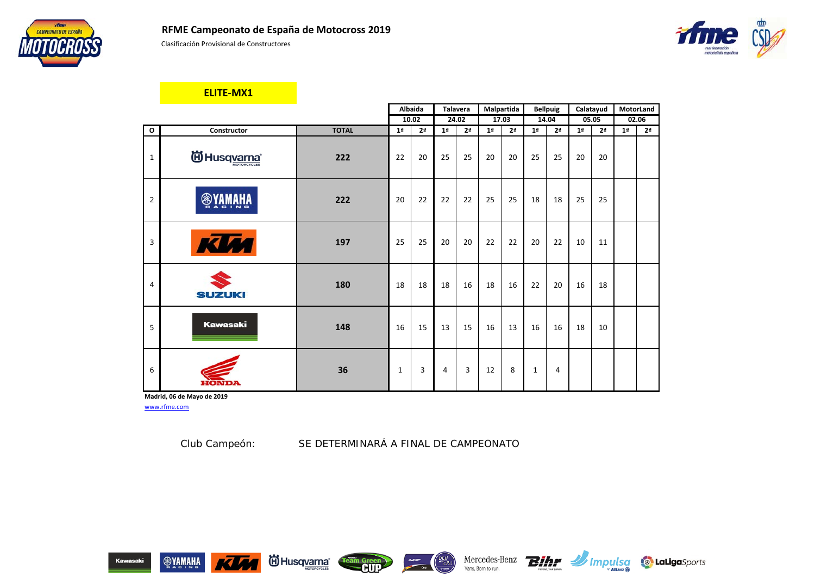



Clasificación Provisional de Constructores



### **ELITE-MX1**

|                |                 |              |                | Albaida        |                | Talavera       |                | Malpartida     |                | <b>Bellpuig</b> |                | Calatayud      | MotorLand      |                |
|----------------|-----------------|--------------|----------------|----------------|----------------|----------------|----------------|----------------|----------------|-----------------|----------------|----------------|----------------|----------------|
|                |                 |              |                | 10.02          |                | 24.02          |                | 17.03          |                | 14.04           | 05.05          |                | 02.06          |                |
| $\mathbf{o}$   | Constructor     | <b>TOTAL</b> | 1 <sup>a</sup> | 2 <sup>a</sup> | 1 <sup>a</sup> | 2 <sup>a</sup> | 1 <sup>a</sup> | 2 <sup>a</sup> | 1 <sup>a</sup> | 2 <sup>a</sup>  | 1 <sup>a</sup> | 2 <sup>a</sup> | 1 <sup>a</sup> | 2 <sup>a</sup> |
| $\mathbf{1}$   | id Husqvarna®   | 222          | 22             | 20             | 25             | 25             | 20             | 20             | 25             | 25              | 20             | 20             |                |                |
| $\overline{2}$ | <b>OVAMAHA</b>  | 222          | 20             | 22             | 22             | 22             | 25             | 25             | 18             | 18              | 25             | 25             |                |                |
| 3              | KUM             | 197          | 25             | 25             | 20             | 20             | 22             | 22             | 20             | 22              | 10             | 11             |                |                |
| 4              | <b>SUZUKI</b>   | 180          | 18             | 18             | 18             | 16             | 18             | 16             | 22             | 20              | 16             | 18             |                |                |
| 5              | <b>Kawasaki</b> | 148          | 16             | 15             | 13             | 15             | 16             | 13             | 16             | 16              | 18             | 10             |                |                |
| 6              |                 | 36           | 1              | 3              | 4              | 3              | 12             | 8              | 1              | 4               |                |                |                |                |

**Madrid, 06 de Mayo de 2019**

www.rfme.com

Club Campeón: *SE DETERMINARÁ A FINAL DE CAMPEONATO*

 $\frac{1}{\sqrt{1-\frac{1}{2}}}\frac{1}{\sqrt{1-\frac{1}{2}}}\frac{1}{\sqrt{1-\frac{1}{2}}}\frac{1}{\sqrt{1-\frac{1}{2}}}\frac{1}{\sqrt{1-\frac{1}{2}}}\frac{1}{\sqrt{1-\frac{1}{2}}}\frac{1}{\sqrt{1-\frac{1}{2}}}\frac{1}{\sqrt{1-\frac{1}{2}}}\frac{1}{\sqrt{1-\frac{1}{2}}}\frac{1}{\sqrt{1-\frac{1}{2}}}\frac{1}{\sqrt{1-\frac{1}{2}}}\frac{1}{\sqrt{1-\frac{1}{2}}}\frac{1}{\sqrt{1-\frac{1}{2}}}\frac{1}{\sqrt{1-\frac{$ 











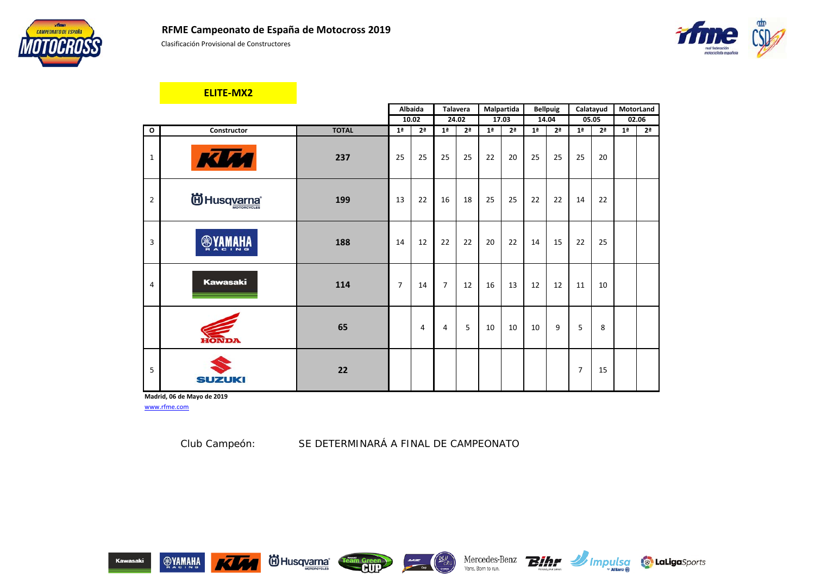



Clasificación Provisional de Constructores



### **ELITE-MX2**

|                |                       |              |                | Albaida        |                | Talavera       |                | Malpartida     |                | <b>Bellpuig</b> | Calatayud      |                | MotorLand      |                |
|----------------|-----------------------|--------------|----------------|----------------|----------------|----------------|----------------|----------------|----------------|-----------------|----------------|----------------|----------------|----------------|
|                |                       |              |                | 10.02          |                | 24.02          |                | 17.03          |                | 14.04           | 05.05          |                |                | 02.06          |
| $\mathbf{o}$   | Constructor           | <b>TOTAL</b> | 1 <sup>a</sup> | 2 <sup>a</sup> | 1 <sup>a</sup> | 2 <sup>a</sup> | 1 <sup>a</sup> | 2 <sup>a</sup> | 1 <sup>a</sup> | 2 <sup>a</sup>  | 1 <sup>a</sup> | 2 <sup>a</sup> | 1 <sup>a</sup> | 2 <sup>a</sup> |
| $\mathbf{1}$   | KIM                   | 237          | 25             | 25             | 25             | 25             | 22             | 20             | 25             | 25              | 25             | 20             |                |                |
| $\overline{2}$ | <b>id Husqyarna</b> ® | 199          | 13             | 22             | 16             | 18             | 25             | 25             | 22             | 22              | 14             | 22             |                |                |
| 3              | <b>®YAMAHA</b>        | 188          | 14             | 12             | 22             | 22             | 20             | 22             | 14             | 15              | 22             | 25             |                |                |
| 4              | <b>Kawasaki</b>       | 114          | $\overline{7}$ | 14             | $\overline{7}$ | 12             | 16             | 13             | 12             | 12              | 11             | 10             |                |                |
|                | <b>HONDA</b>          | 65           |                | $\overline{4}$ | $\overline{4}$ | 5              | 10             | 10             | 10             | 9               | 5              | 8              |                |                |
| 5              | <b>SUZUKI</b>         | 22           |                |                |                |                |                |                |                |                 | 7              | 15             |                |                |

**Madrid, 06 de Mayo de 2019**

www.rfme.com

Club Campeón: *SE DETERMINARÁ A FINAL DE CAMPEONATO*











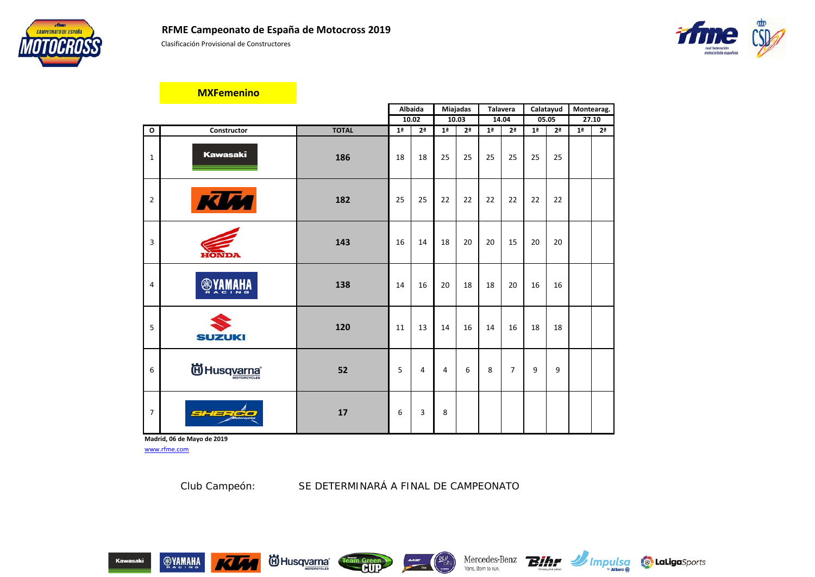



Clasificación Provisional de Constructores



#### **MXFemenino**

|                |                 |              |                | Albaida        |                | Miajadas       | <b>Talavera</b> |                | Calatayud      |                |                | Montearag.     |
|----------------|-----------------|--------------|----------------|----------------|----------------|----------------|-----------------|----------------|----------------|----------------|----------------|----------------|
|                |                 |              |                | 10.02          |                | 10.03          |                 | 14.04          | 05.05          |                |                | 27.10          |
| $\mathbf{o}$   | Constructor     | <b>TOTAL</b> | 1 <sup>a</sup> | 2 <sup>a</sup> | 1 <sup>a</sup> | 2 <sup>a</sup> | 1 <sup>a</sup>  | 2 <sup>a</sup> | 1 <sup>a</sup> | 2 <sup>a</sup> | 1 <sup>a</sup> | 2 <sup>a</sup> |
| $\mathbf{1}$   | <b>Kawasaki</b> | 186          | 18             | 18             | 25             | 25             | 25              | 25             | 25             | 25             |                |                |
| $\overline{2}$ | <b>JM</b>       | 182          | 25             | 25             | 22             | 22             | 22              | 22             | 22             | 22             |                |                |
| 3              | <b>HONDA</b>    | 143          | 16             | 14             | 18             | 20             | 20              | 15             | 20             | 20             |                |                |
| 4              | <b>RHAMAY®</b>  | 138          | 14             | 16             | 20             | 18             | 18              | 20             | 16             | 16             |                |                |
| 5              | <b>SUZUKI</b>   | 120          | 11             | 13             | 14             | 16             | 14              | 16             | 18             | 18             |                |                |
| 6              | ig Husqvarna    | 52           | 5              | $\overline{4}$ | $\overline{4}$ | 6              | 8               | $\overline{7}$ | 9              | 9              |                |                |
| $\overline{7}$ | SHERCO          | 17           | 6              | 3              | 8              |                |                 |                |                |                |                |                |

**Madrid, 06 de Mayo de 2019** www.rfme.com

Club Campeón: *SE DETERMINARÁ A FINAL DE CAMPEONATO*









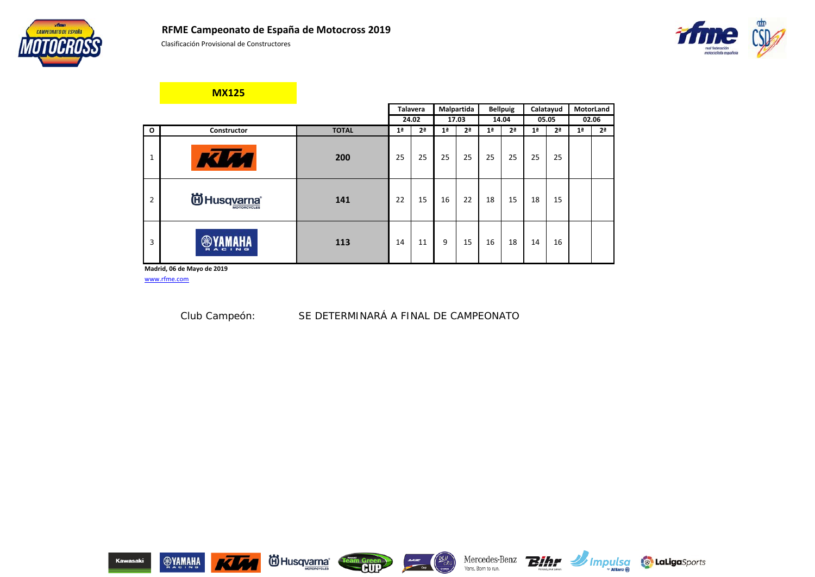

Clasificación Provisional de Constructores

**MX125**



|                |                                                   |              |                | <b>Talavera</b> |                | Malpartida     |                | <b>Bellpuig</b> |                | Calatayud      |                | MotorLand      |
|----------------|---------------------------------------------------|--------------|----------------|-----------------|----------------|----------------|----------------|-----------------|----------------|----------------|----------------|----------------|
|                |                                                   |              |                | 24.02           |                | 17.03          |                | 14.04           |                | 05.05          |                | 02.06          |
| $\mathbf{o}$   | Constructor                                       | <b>TOTAL</b> | 1 <sup>a</sup> | 2 <sup>a</sup>  | 1 <sup>a</sup> | 2 <sup>a</sup> | 1 <sup>a</sup> | 2 <sup>a</sup>  | 1 <sup>a</sup> | 2 <sup>a</sup> | 1 <sup>a</sup> | 2 <sup>a</sup> |
| 1              |                                                   | 200          | 25             | 25              | 25             | 25             | 25             | 25              | 25             | 25             |                |                |
| $\overline{2}$ | <b>间</b> Husqvarna®<br><b>MOTORCYCLES</b>         | 141          | 22             | 15              | 16             | 22             | 18             | 15              | 18             | 15             |                |                |
| 3              | ❀<br><b>CING</b><br>ā<br>$\overline{\phantom{a}}$ | 113          | 14             | 11              | 9              | 15             | 16             | 18              | 14             | 16             |                |                |
|                | Madrid, 06 de Mayo de 2019                        |              |                |                 |                |                |                |                 |                |                |                |                |

www.rfme.com

Club Campeón: *SE DETERMINARÁ A FINAL DE CAMPEONATO*